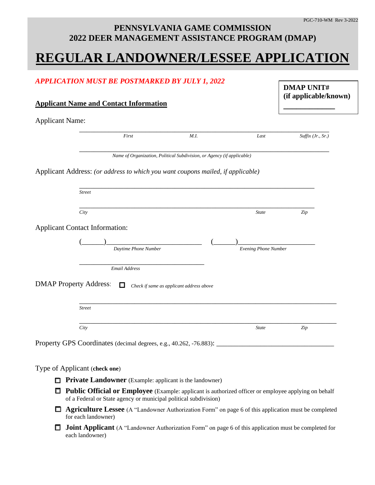### **PENNSYLVANIA GAME COMMISSION 2022 DEER MANAGEMENT ASSISTANCE PROGRAM (DMAP)**

# **REGULAR LANDOWNER/LESSEE APPLICATION**

|                        | <b>APPLICATION MUST BE POSTMARKED BY JULY 1, 2022</b><br><b>Applicant Name and Contact Information</b>                                                                   |                                                                        |                      | <b>DMAP UNIT#</b><br>(if applicable/known) |  |
|------------------------|--------------------------------------------------------------------------------------------------------------------------------------------------------------------------|------------------------------------------------------------------------|----------------------|--------------------------------------------|--|
| <b>Applicant Name:</b> |                                                                                                                                                                          |                                                                        |                      |                                            |  |
|                        | First                                                                                                                                                                    | M.I.                                                                   | Last                 | Suffix $(Jr., Sr.)$                        |  |
|                        |                                                                                                                                                                          | Name of Organization, Political Subdivision, or Agency (if applicable) |                      |                                            |  |
|                        | Applicant Address: (or address to which you want coupons mailed, if applicable)                                                                                          |                                                                        |                      |                                            |  |
|                        | <b>Street</b>                                                                                                                                                            |                                                                        |                      |                                            |  |
|                        | City                                                                                                                                                                     |                                                                        | <b>State</b>         | Zip                                        |  |
|                        | <b>Applicant Contact Information:</b>                                                                                                                                    |                                                                        |                      |                                            |  |
|                        |                                                                                                                                                                          |                                                                        | Evening Phone Number |                                            |  |
|                        |                                                                                                                                                                          |                                                                        |                      |                                            |  |
|                        | Daytime Phone Number<br><b>Email Address</b>                                                                                                                             |                                                                        |                      |                                            |  |
|                        | <b>DMAP Property Address:</b><br>$\mathbf{I}$<br><b>Street</b>                                                                                                           | Check if same as applicant address above                               |                      |                                            |  |
|                        | City                                                                                                                                                                     |                                                                        | <b>State</b>         | Zip                                        |  |
|                        |                                                                                                                                                                          |                                                                        |                      |                                            |  |
|                        | Property GPS Coordinates (decimal degrees, e.g., 40.262, -76.883):                                                                                                       |                                                                        |                      |                                            |  |
|                        |                                                                                                                                                                          |                                                                        |                      |                                            |  |
|                        | Type of Applicant (check one)<br><b>Private Landowner</b> (Example: applicant is the landowner)                                                                          |                                                                        |                      |                                            |  |
|                        | Public Official or Employee (Example: applicant is authorized officer or employee applying on behalf<br>of a Federal or State agency or municipal political subdivision) |                                                                        |                      |                                            |  |
|                        | Agriculture Lessee (A "Landowner Authorization Form" on page 6 of this application must be completed<br>for each landowner)                                              |                                                                        |                      |                                            |  |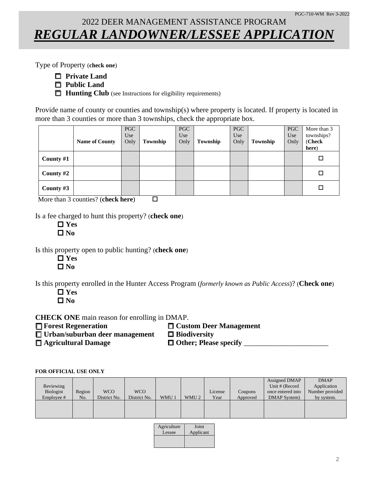### 2022 DEER MANAGEMENT ASSISTANCE PROGRAM *REGULAR LANDOWNER/LESSEE APPLICATION*

Type of Property (**check one**)

- **Private Land**
- **Public Land**
- **Hunting Club** (see Instructions for eligibility requirements)

Provide name of county or counties and township(s) where property is located. If property is located in more than 3 counties or more than 3 townships, check the appropriate box.

|             | <b>Name of County</b> | <b>PGC</b><br>Use<br>Only | Township | <b>PGC</b><br>Use<br>Only | Township | PGC<br>Use<br>Only | Township | <b>PGC</b><br>Use<br>Only | More than 3<br>townships?<br>(Check<br>here) |
|-------------|-----------------------|---------------------------|----------|---------------------------|----------|--------------------|----------|---------------------------|----------------------------------------------|
| County #1   |                       |                           |          |                           |          |                    |          |                           | □                                            |
| County #2   |                       |                           |          |                           |          |                    |          |                           | □                                            |
| County $#3$ |                       |                           |          |                           |          |                    |          |                           | □                                            |

More than 3 counties? (**check here**)

Is a fee charged to hunt this property? (**check one**)

 **Yes No**

Is this property open to public hunting? (**check one**)

 **Yes No**

Is this property enrolled in the Hunter Access Program (*formerly known as Public Access*)? (**Check one**)

 **Yes No**

**CHECK ONE** main reason for enrolling in DMAP.

**Forest Regeneration Custom Deer Management**

**Urban/suburban deer management Biodiversity**

**Agricultural Damage Other; Please specify** \_\_\_\_\_\_\_\_\_\_\_\_\_\_\_\_\_\_\_\_\_\_\_

#### **FOR OFFICIAL USE ONLY**

| Reviewing<br>Biologist | Region | <b>WCO</b>   | <b>WCO</b>   |       |                  | License | Coupons  | Assigned DMAP<br>Unit # (Record<br>once entered into | <b>DMAP</b><br>Application<br>Number provided |
|------------------------|--------|--------------|--------------|-------|------------------|---------|----------|------------------------------------------------------|-----------------------------------------------|
| Employee #             | No.    | District No. | District No. | WMU 1 | WMU <sub>2</sub> | Year    | Approved | DMAP System)                                         | by system.                                    |
|                        |        |              |              |       |                  |         |          |                                                      |                                               |
|                        |        |              |              |       |                  |         |          |                                                      |                                               |

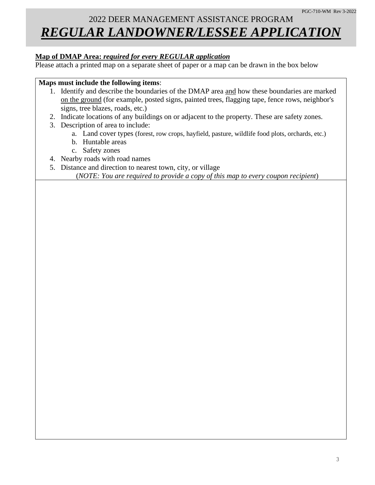## 2022 DEER MANAGEMENT ASSISTANCE PROGRAM *REGULAR LANDOWNER/LESSEE APPLICATION*

#### **Map of DMAP Area:** *required for every REGULAR application*

Please attach a printed map on a separate sheet of paper or a map can be drawn in the box below

#### **Maps must include the following items**:

- 1. Identify and describe the boundaries of the DMAP area and how these boundaries are marked on the ground (for example, posted signs, painted trees, flagging tape, fence rows, neighbor's signs, tree blazes, roads, etc.)
- 2. Indicate locations of any buildings on or adjacent to the property. These are safety zones.
- 3. Description of area to include:
	- a. Land cover types (forest, row crops, hayfield, pasture, wildlife food plots, orchards, etc.)
	- b. Huntable areas
	- c. Safety zones
- 4. Nearby roads with road names
- 5. Distance and direction to nearest town, city, or village

(*NOTE: You are required to provide a copy of this map to every coupon recipient*)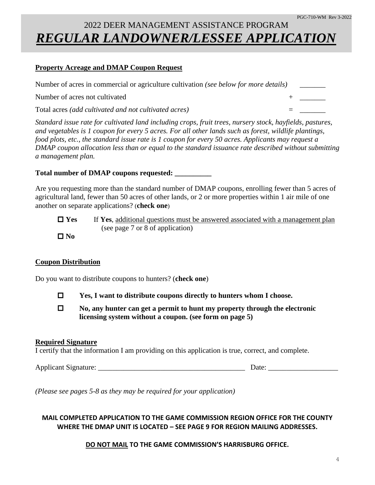## 2022 DEER MANAGEMENT ASSISTANCE PROGRAM *REGULAR LANDOWNER/LESSEE APPLICATION*

#### **Property Acreage and DMAP Coupon Request**

| Number of acres in commercial or agriculture cultivation (see below for more details) |  |
|---------------------------------------------------------------------------------------|--|
| Number of acres not cultivated                                                        |  |
| Total acres <i>(add cultivated and not cultivated acres)</i>                          |  |

*Standard issue rate for cultivated land including crops, fruit trees, nursery stock, hayfields, pastures, and vegetables is 1 coupon for every 5 acres. For all other lands such as forest, wildlife plantings, food plots, etc., the standard issue rate is 1 coupon for every 50 acres. Applicants may request a DMAP coupon allocation less than or equal to the standard issuance rate described without submitting a management plan.* 

#### **Total number of DMAP coupons requested: \_\_\_\_\_\_\_\_\_\_**

Are you requesting more than the standard number of DMAP coupons, enrolling fewer than 5 acres of agricultural land, fewer than 50 acres of other lands, or 2 or more properties within 1 air mile of one another on separate applications? (**check one**)

- **Yes** If **Yes**, additional questions must be answered associated with a management plan (see page 7 or 8 of application)
- **No**

#### **Coupon Distribution**

Do you want to distribute coupons to hunters? (**check one**)

- **Yes, I want to distribute coupons directly to hunters whom I choose.**
- **No, any hunter can get a permit to hunt my property through the electronic licensing system without a coupon. (see form on page 5)**

#### **Required Signature**

I certify that the information I am providing on this application is true, correct, and complete.

Applicant Signature: \_\_\_\_\_\_\_\_\_\_\_\_\_\_\_\_\_\_\_\_\_\_\_\_\_\_\_\_\_\_\_\_\_\_\_\_\_\_\_\_ Date: \_\_\_\_\_\_\_\_\_\_\_\_\_\_\_\_\_\_\_

*(Please see pages 5-8 as they may be required for your application)*

#### **MAIL COMPLETED APPLICATION TO THE GAME COMMISSION REGION OFFICE FOR THE COUNTY WHERE THE DMAP UNIT IS LOCATED – SEE PAGE 9 FOR REGION MAILING ADDRESSES.**

**DO NOT MAIL TO THE GAME COMMISSION'S HARRISBURG OFFICE.**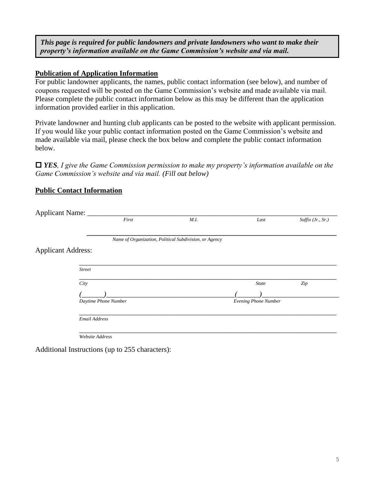*This page is required for public landowners and private landowners who want to make their property's information available on the Game Commission's website and via mail.*

#### **Publication of Application Information**

For public landowner applicants, the names, public contact information (see below), and number of coupons requested will be posted on the Game Commission's website and made available via mail. Please complete the public contact information below as this may be different than the application information provided earlier in this application.

Private landowner and hunting club applicants can be posted to the website with applicant permission. If you would like your public contact information posted on the Game Commission's website and made available via mail, please check the box below and complete the public contact information below.

 *YES, I give the Game Commission permission to make my property's information available on the Game Commission's website and via mail. (Fill out below)*

#### **Public Contact Information**

| Applicant Name: _         |                      |                                                        |                      |                   |
|---------------------------|----------------------|--------------------------------------------------------|----------------------|-------------------|
|                           | First                | M.I.                                                   | Last                 | Suffix (Jr., Sr.) |
|                           |                      |                                                        |                      |                   |
|                           |                      | Name of Organization, Political Subdivision, or Agency |                      |                   |
| <b>Applicant Address:</b> |                      |                                                        |                      |                   |
|                           |                      |                                                        |                      |                   |
|                           | <b>Street</b>        |                                                        |                      |                   |
|                           | City                 |                                                        | <b>State</b>         | Zip               |
|                           |                      |                                                        |                      |                   |
|                           | Daytime Phone Number |                                                        | Evening Phone Number |                   |
|                           |                      |                                                        |                      |                   |
|                           | Email Address        |                                                        |                      |                   |
|                           |                      |                                                        |                      |                   |
|                           | Website Address      |                                                        |                      |                   |

Additional Instructions (up to 255 characters):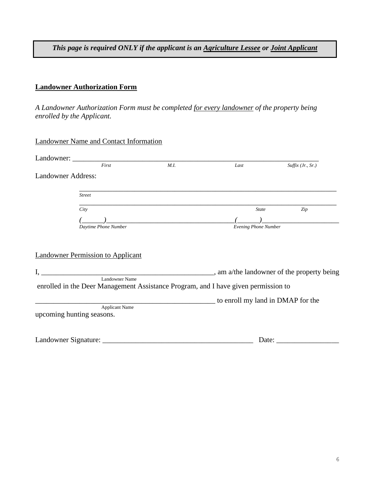*This page is required ONLY if the applicant is an Agriculture Lessee or Joint Applicant*

#### **Landowner Authorization Form**

*A Landowner Authorization Form must be completed for every landowner of the property being enrolled by the Applicant.*

| Landowner Name and Contact Information |  |
|----------------------------------------|--|
|                                        |  |

| Landowner:                |                                                    |                                                                                    |                      |                                            |
|---------------------------|----------------------------------------------------|------------------------------------------------------------------------------------|----------------------|--------------------------------------------|
|                           | First                                              | M.I.                                                                               | Last                 | $Suffix$ (Jr., Sr.)                        |
| <b>Landowner Address:</b> |                                                    |                                                                                    |                      |                                            |
|                           | <b>Street</b>                                      |                                                                                    |                      |                                            |
|                           | City                                               |                                                                                    | <b>State</b>         | Zip                                        |
|                           |                                                    |                                                                                    |                      |                                            |
|                           | Daytime Phone Number                               |                                                                                    | Evening Phone Number |                                            |
|                           | <b>Landowner Permission to Applicant</b>           |                                                                                    |                      | , am a/the landowner of the property being |
|                           | <b>Landowner Name</b>                              | enrolled in the Deer Management Assistance Program, and I have given permission to |                      |                                            |
|                           |                                                    |                                                                                    |                      | to enroll my land in DMAP for the          |
|                           | <b>Applicant Name</b><br>upcoming hunting seasons. |                                                                                    |                      |                                            |
|                           |                                                    |                                                                                    |                      |                                            |

| Landowner '<br>: Signature: | Jate |
|-----------------------------|------|
|-----------------------------|------|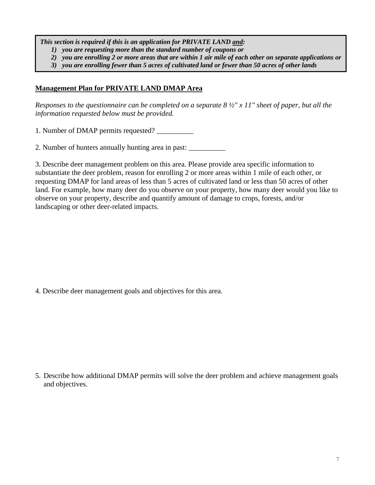*This section is required if this is an application for PRIVATE LAND and:* 

*1) you are requesting more than the standard number of coupons or* 

*2) you are enrolling 2 or more areas that are within 1 air mile of each other on separate applications or*

*3) you are enrolling fewer than 5 acres of cultivated land or fewer than 50 acres of other lands*

#### **Management Plan for PRIVATE LAND DMAP Area**

*Responses to the questionnaire can be completed on a separate 8 ½" x 11" sheet of paper, but all the information requested below must be provided.* 

1. Number of DMAP permits requested? \_\_\_\_\_\_\_\_\_\_

2. Number of hunters annually hunting area in past: \_\_\_\_\_\_\_\_\_\_

3. Describe deer management problem on this area. Please provide area specific information to substantiate the deer problem, reason for enrolling 2 or more areas within 1 mile of each other, or requesting DMAP for land areas of less than 5 acres of cultivated land or less than 50 acres of other land. For example, how many deer do you observe on your property, how many deer would you like to observe on your property, describe and quantify amount of damage to crops, forests, and/or landscaping or other deer-related impacts.

4. Describe deer management goals and objectives for this area.

5. Describe how additional DMAP permits will solve the deer problem and achieve management goals and objectives.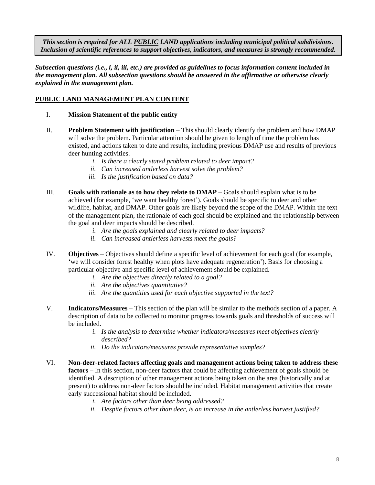*This section is required for ALL PUBLIC LAND applications including municipal political subdivisions. Inclusion of scientific references to support objectives, indicators, and measures is strongly recommended.*

*Subsection questions (i.e., i, ii, iii, etc.) are provided as guidelines to focus information content included in the management plan. All subsection questions should be answered in the affirmative or otherwise clearly explained in the management plan.*

#### **PUBLIC LAND MANAGEMENT PLAN CONTENT**

- I. **Mission Statement of the public entity**
- II. **Problem Statement with justification** This should clearly identify the problem and how DMAP will solve the problem. Particular attention should be given to length of time the problem has existed, and actions taken to date and results, including previous DMAP use and results of previous deer hunting activities.
	- *i. Is there a clearly stated problem related to deer impact?*
	- *ii. Can increased antlerless harvest solve the problem?*
	- *iii. Is the justification based on data?*
- III. **Goals with rationale as to how they relate to DMAP** Goals should explain what is to be achieved (for example, 'we want healthy forest'). Goals should be specific to deer and other wildlife, habitat, and DMAP. Other goals are likely beyond the scope of the DMAP. Within the text of the management plan, the rationale of each goal should be explained and the relationship between the goal and deer impacts should be described.
	- *i. Are the goals explained and clearly related to deer impacts?*
	- *ii. Can increased antlerless harvests meet the goals?*
- IV. **Objectives** Objectives should define a specific level of achievement for each goal (for example, 'we will consider forest healthy when plots have adequate regeneration'). Basis for choosing a particular objective and specific level of achievement should be explained.
	- *i. Are the objectives directly related to a goal?*
	- *ii. Are the objectives quantitative?*
	- *iii. Are the quantities used for each objective supported in the text?*
- V. **Indicators/Measures** This section of the plan will be similar to the methods section of a paper. A description of data to be collected to monitor progress towards goals and thresholds of success will be included.
	- *i. Is the analysis to determine whether indicators/measures meet objectives clearly described?*
	- *ii. Do the indicators/measures provide representative samples?*
- VI. **Non-deer-related factors affecting goals and management actions being taken to address these factors** – In this section, non-deer factors that could be affecting achievement of goals should be identified. A description of other management actions being taken on the area (historically and at present) to address non-deer factors should be included. Habitat management activities that create early successional habitat should be included.
	- *i. Are factors other than deer being addressed?*
	- *ii. Despite factors other than deer, is an increase in the antlerless harvest justified?*